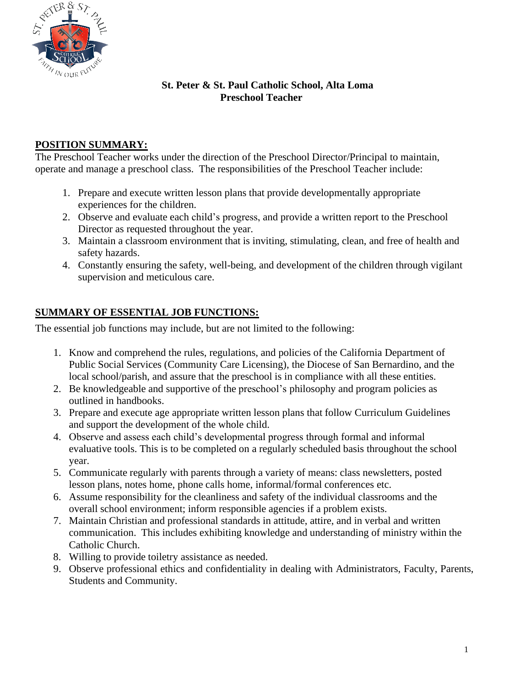

#### **St. Peter & St. Paul Catholic School, Alta Loma Preschool Teacher**

### **POSITION SUMMARY:**

The Preschool Teacher works under the direction of the Preschool Director/Principal to maintain, operate and manage a preschool class. The responsibilities of the Preschool Teacher include:

- 1. Prepare and execute written lesson plans that provide developmentally appropriate experiences for the children.
- 2. Observe and evaluate each child's progress, and provide a written report to the Preschool Director as requested throughout the year.
- 3. Maintain a classroom environment that is inviting, stimulating, clean, and free of health and safety hazards.
- 4. Constantly ensuring the safety, well-being, and development of the children through vigilant supervision and meticulous care.

## **SUMMARY OF ESSENTIAL JOB FUNCTIONS:**

The essential job functions may include, but are not limited to the following:

- 1. Know and comprehend the rules, regulations, and policies of the California Department of Public Social Services (Community Care Licensing), the Diocese of San Bernardino, and the local school/parish, and assure that the preschool is in compliance with all these entities.
- 2. Be knowledgeable and supportive of the preschool's philosophy and program policies as outlined in handbooks.
- 3. Prepare and execute age appropriate written lesson plans that follow Curriculum Guidelines and support the development of the whole child.
- 4. Observe and assess each child's developmental progress through formal and informal evaluative tools. This is to be completed on a regularly scheduled basis throughout the school year.
- 5. Communicate regularly with parents through a variety of means: class newsletters, posted lesson plans, notes home, phone calls home, informal/formal conferences etc.
- 6. Assume responsibility for the cleanliness and safety of the individual classrooms and the overall school environment; inform responsible agencies if a problem exists.
- 7. Maintain Christian and professional standards in attitude, attire, and in verbal and written communication. This includes exhibiting knowledge and understanding of ministry within the Catholic Church.
- 8. Willing to provide toiletry assistance as needed.
- 9. Observe professional ethics and confidentiality in dealing with Administrators, Faculty, Parents, Students and Community.